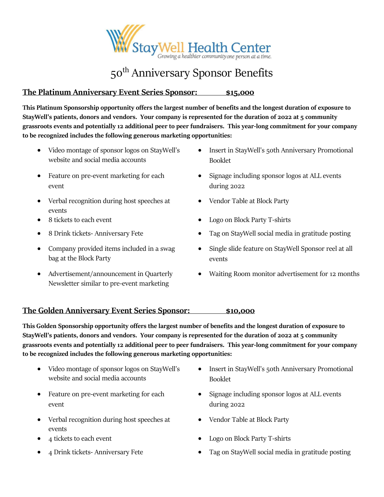

# 50<sup>th</sup> Anniversary Sponsor Benefits

## **The Platinum Anniversary Event Series Sponsor: \$15,000**

**This Platinum Sponsorship opportunity offers the largest number of benefits and the longest duration of exposure to StayWell's patients, donors and vendors. Your company is represented for the duration of 2022 at 5 community grassroots events and potentially 12 additional peer to peer fundraisers. This year-long commitment for your company to be recognized includes the following generous marketing opportunities:**

- Video montage of sponsor logos on StayWell's website and social media accounts
- Feature on pre-event marketing for each event
- Verbal recognition during host speeches at events
- 
- 
- Company provided items included in a swag bag at the Block Party
- Advertisement/announcement in Quarterly Newsletter similar to pre-event marketing
- Insert in StayWell's 50th Anniversary Promotional Booklet
- Signage including sponsor logos at ALL events during 2022
- Vendor Table at Block Party
- 8 tickets to each event Logo on Block Party T-shirts
	- 8 Drink tickets- Anniversary Fete Tag on StayWell social media in gratitude posting
		- Single slide feature on StayWell Sponsor reel at all events
		- Waiting Room monitor advertisement for 12 months

## **The Golden Anniversary Event Series Sponsor: \$10,000**

**This Golden Sponsorship opportunity offers the largest number of benefits and the longest duration of exposure to StayWell's patients, donors and vendors. Your company is represented for the duration of 2022 at 5 community grassroots events and potentially 12 additional peer to peer fundraisers. This year-long commitment for your company to be recognized includes the following generous marketing opportunities:**

- Video montage of sponsor logos on StayWell's website and social media accounts
- Feature on pre-event marketing for each event
- Verbal recognition during host speeches at events
- 
- 
- Insert in StayWell's 50th Anniversary Promotional Booklet
- Signage including sponsor logos at ALL events during 2022
- Vendor Table at Block Party
- 4 tickets to each event Logo on Block Party T-shirts
- 4 Drink tickets- Anniversary Fete Tag on StayWell social media in gratitude posting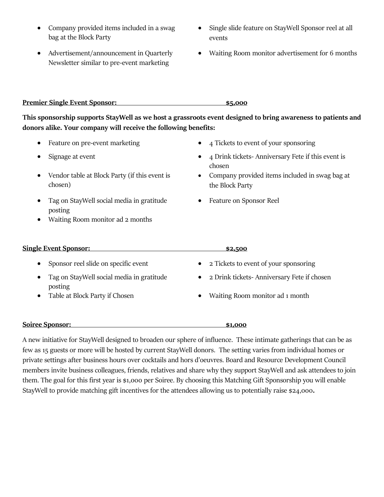- Company provided items included in a swag bag at the Block Party
- Advertisement/announcement in Quarterly Newsletter similar to pre-event marketing
- Single slide feature on StayWell Sponsor reel at all events
- Waiting Room monitor advertisement for 6 months

### **Premier Single Event Sponsor: \$5,000**

**This sponsorship supports StayWell as we host a grassroots event designed to bring awareness to patients and donors alike. Your company will receive the following benefits:**

- 
- 
- Vendor table at Block Party (if this event is chosen)
- Tag on StayWell social media in gratitude posting
- Waiting Room monitor ad 2 months
- Feature on pre-event marketing 4 Tickets to event of your sponsoring
- Signage at event 4 Drink tickets- Anniversary Fete if this event is chosen
	- Company provided items included in swag bag at the Block Party
	- Feature on Sponsor Reel

## **Single Event Sponsor: \$2,500** • Sponsor reel slide on specific event • 2 Tickets to event of your sponsoring • Tag on StayWell social media in gratitude posting • 2 Drink tickets- Anniversary Fete if chosen • Table at Block Party if Chosen • Waiting Room monitor ad 1 month

#### **Soiree Sponsor: \$1,000**

A new initiative for StayWell designed to broaden our sphere of influence. These intimate gatherings that can be as few as 15 guests or more will be hosted by current StayWell donors. The setting varies from individual homes or private settings after business hours over cocktails and hors d'oeuvres. Board and Resource Development Council members invite business colleagues, friends, relatives and share why they support StayWell and ask attendees to join them. The goal for this first year is \$1,000 per Soiree. By choosing this Matching Gift Sponsorship you will enable StayWell to provide matching gift incentives for the attendees allowing us to potentially raise \$24,000**.**